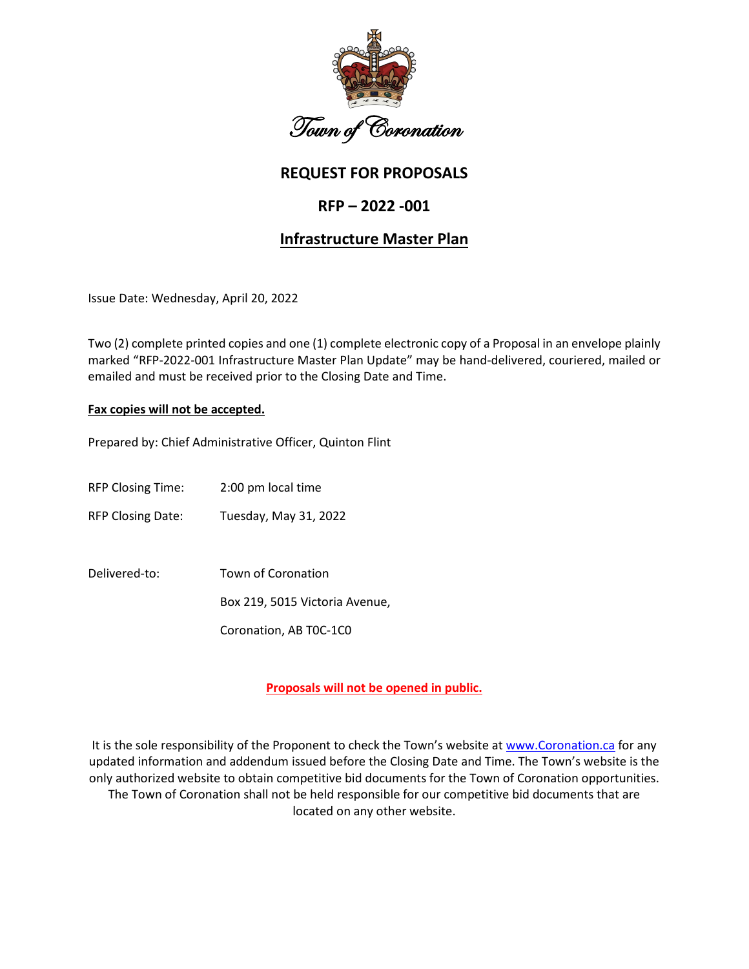

# **REQUEST FOR PROPOSALS**

# **RFP – 2022 -001**

# **Infrastructure Master Plan**

Issue Date: Wednesday, April 20, 2022

Two (2) complete printed copies and one (1) complete electronic copy of a Proposal in an envelope plainly marked "RFP-2022-001 Infrastructure Master Plan Update" may be hand-delivered, couriered, mailed or emailed and must be received prior to the Closing Date and Time.

#### **Fax copies will not be accepted.**

Prepared by: Chief Administrative Officer, Quinton Flint

RFP Closing Time: 2:00 pm local time

RFP Closing Date: Tuesday, May 31, 2022

Delivered-to: Town of Coronation Box 219, 5015 Victoria Avenue, Coronation, AB T0C-1C0

**Proposals will not be opened in public.**

It is the sole responsibility of the Proponent to check the Town's website a[t www.Coronation.ca](http://www.coronation.ca/) for any updated information and addendum issued before the Closing Date and Time. The Town's website is the only authorized website to obtain competitive bid documents for the Town of Coronation opportunities. The Town of Coronation shall not be held responsible for our competitive bid documents that are located on any other website.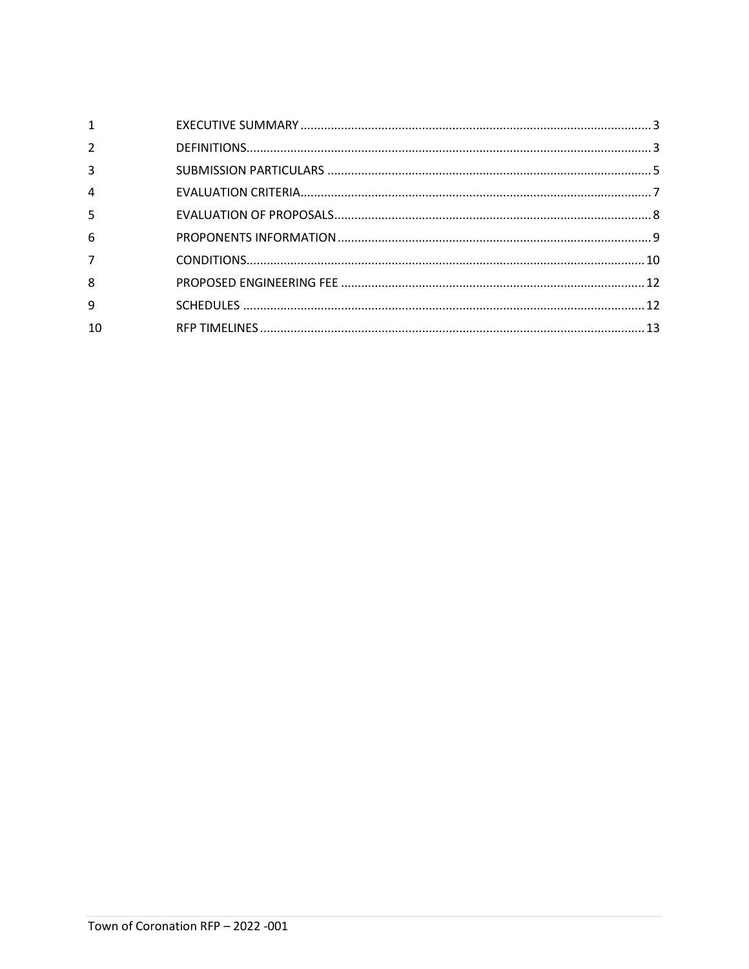| $\mathbf{1}$   |  |
|----------------|--|
| $\overline{2}$ |  |
| 3              |  |
| $\overline{4}$ |  |
| 5              |  |
| 6              |  |
| $\overline{7}$ |  |
| 8              |  |
| 9              |  |
| 10             |  |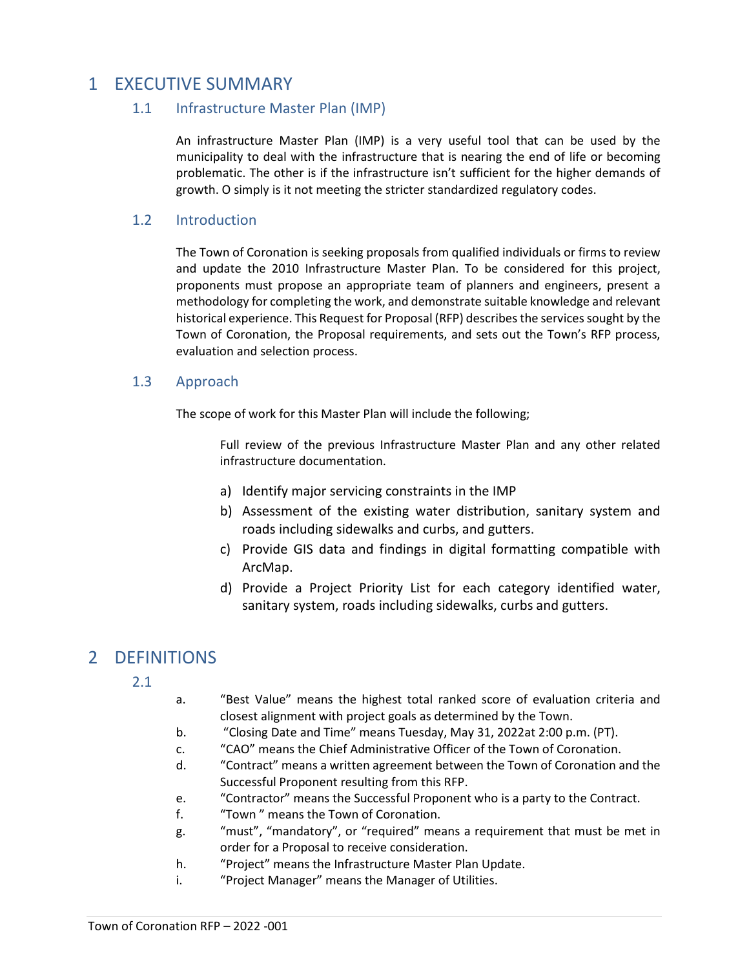# <span id="page-2-0"></span>1 EXECUTIVE SUMMARY

### 1.1 Infrastructure Master Plan (IMP)

An infrastructure Master Plan (IMP) is a very useful tool that can be used by the municipality to deal with the infrastructure that is nearing the end of life or becoming problematic. The other is if the infrastructure isn't sufficient for the higher demands of growth. O simply is it not meeting the stricter standardized regulatory codes.

### 1.2 Introduction

The Town of Coronation is seeking proposals from qualified individuals or firms to review and update the 2010 Infrastructure Master Plan. To be considered for this project, proponents must propose an appropriate team of planners and engineers, present a methodology for completing the work, and demonstrate suitable knowledge and relevant historical experience. This Request for Proposal (RFP) describes the services sought by the Town of Coronation, the Proposal requirements, and sets out the Town's RFP process, evaluation and selection process.

### 1.3 Approach

The scope of work for this Master Plan will include the following;

Full review of the previous Infrastructure Master Plan and any other related infrastructure documentation.

- a) Identify major servicing constraints in the IMP
- b) Assessment of the existing water distribution, sanitary system and roads including sidewalks and curbs, and gutters.
- c) Provide GIS data and findings in digital formatting compatible with ArcMap.
- d) Provide a Project Priority List for each category identified water, sanitary system, roads including sidewalks, curbs and gutters.

# <span id="page-2-1"></span>2 DEFINITIONS

- 2.1
- a. "Best Value" means the highest total ranked score of evaluation criteria and closest alignment with project goals as determined by the Town.
- b. "Closing Date and Time" means Tuesday, May 31, 2022at 2:00 p.m. (PT).
- c. "CAO" means the Chief Administrative Officer of the Town of Coronation.
- d. "Contract" means a written agreement between the Town of Coronation and the Successful Proponent resulting from this RFP.
- e. "Contractor" means the Successful Proponent who is a party to the Contract.
- f. "Town " means the Town of Coronation.
- g. "must", "mandatory", or "required" means a requirement that must be met in order for a Proposal to receive consideration.
- h. "Project" means the Infrastructure Master Plan Update.
- i. "Project Manager" means the Manager of Utilities.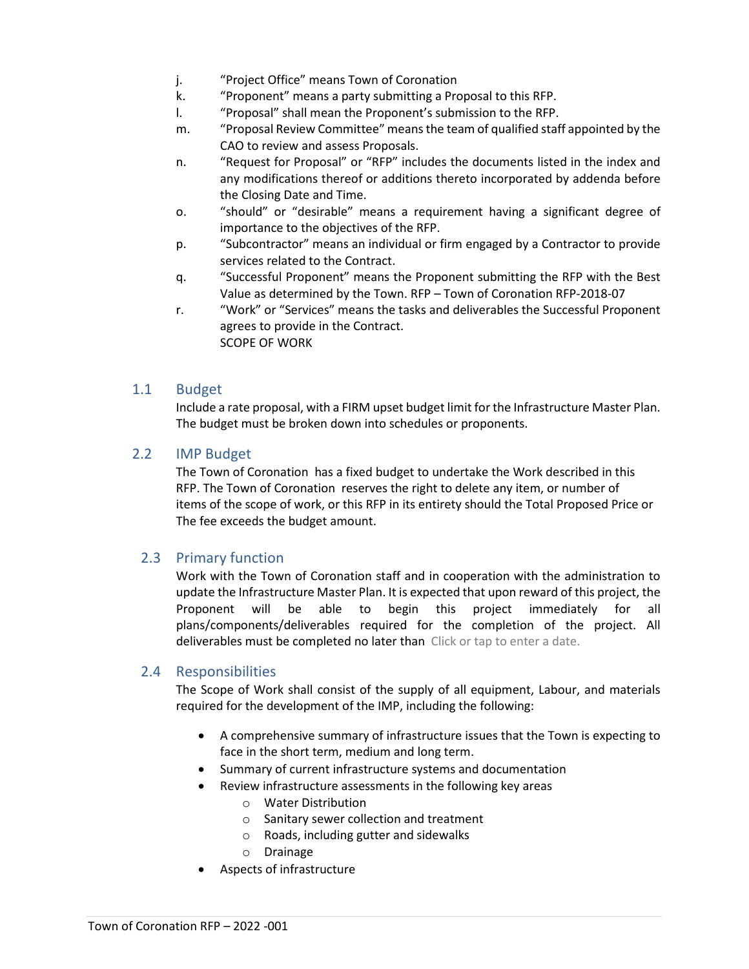- j. "Project Office" means Town of Coronation
- k. "Proponent" means a party submitting a Proposal to this RFP.
- l. "Proposal" shall mean the Proponent's submission to the RFP.
- m. "Proposal Review Committee" means the team of qualified staff appointed by the CAO to review and assess Proposals.
- n. "Request for Proposal" or "RFP" includes the documents listed in the index and any modifications thereof or additions thereto incorporated by addenda before the Closing Date and Time.
- o. "should" or "desirable" means a requirement having a significant degree of importance to the objectives of the RFP.
- p. "Subcontractor" means an individual or firm engaged by a Contractor to provide services related to the Contract.
- q. "Successful Proponent" means the Proponent submitting the RFP with the Best Value as determined by the Town. RFP – Town of Coronation RFP-2018-07
- r. "Work" or "Services" means the tasks and deliverables the Successful Proponent agrees to provide in the Contract. SCOPE OF WORK

#### 1.1 Budget

Include a rate proposal, with a FIRM upset budget limit for the Infrastructure Master Plan. The budget must be broken down into schedules or proponents.

#### 2.2 IMP Budget

The Town of Coronation has a fixed budget to undertake the Work described in this RFP. The Town of Coronation reserves the right to delete any item, or number of items of the scope of work, or this RFP in its entirety should the Total Proposed Price or The fee exceeds the budget amount.

## 2.3 Primary function

Work with the Town of Coronation staff and in cooperation with the administration to update the Infrastructure Master Plan. It is expected that upon reward of this project, the Proponent will be able to begin this project immediately for all plans/components/deliverables required for the completion of the project. All deliverables must be completed no later than Click or tap to enter a date.

#### 2.4 Responsibilities

The Scope of Work shall consist of the supply of all equipment, Labour, and materials required for the development of the IMP, including the following:

- A comprehensive summary of infrastructure issues that the Town is expecting to face in the short term, medium and long term.
- Summary of current infrastructure systems and documentation
	- Review infrastructure assessments in the following key areas o Water Distribution
		- o Sanitary sewer collection and treatment
		- o Roads, including gutter and sidewalks
		- o Drainage
- Aspects of infrastructure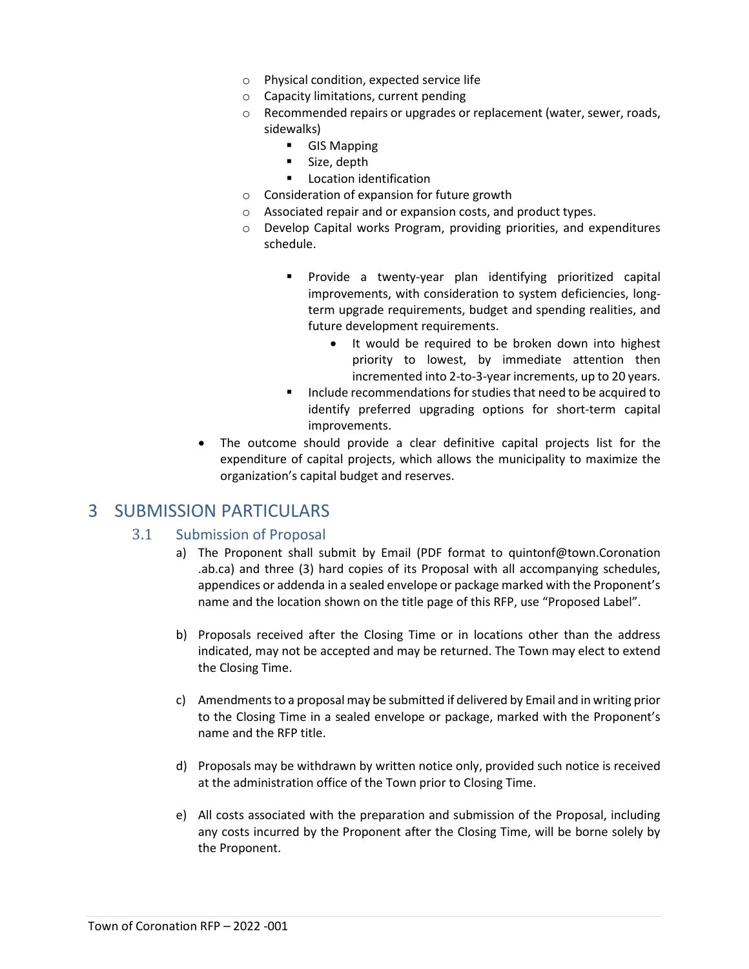- o Physical condition, expected service life
- o Capacity limitations, current pending
- o Recommended repairs or upgrades or replacement (water, sewer, roads, sidewalks)
	- **GIS Mapping**
	- Size, depth
	- **Location identification**
- o Consideration of expansion for future growth
- o Associated repair and or expansion costs, and product types.
- o Develop Capital works Program, providing priorities, and expenditures schedule.
	- Provide a twenty-year plan identifying prioritized capital improvements, with consideration to system deficiencies, longterm upgrade requirements, budget and spending realities, and future development requirements.
		- It would be required to be broken down into highest priority to lowest, by immediate attention then incremented into 2-to-3-year increments, up to 20 years.
	- Include recommendations for studies that need to be acquired to identify preferred upgrading options for short-term capital improvements.
- The outcome should provide a clear definitive capital projects list for the expenditure of capital projects, which allows the municipality to maximize the organization's capital budget and reserves.

# <span id="page-4-0"></span>3 SUBMISSION PARTICULARS

#### 3.1 Submission of Proposal

- a) The Proponent shall submit by Email (PDF format to quintonf@town.Coronation .ab.ca) and three (3) hard copies of its Proposal with all accompanying schedules, appendices or addenda in a sealed envelope or package marked with the Proponent's name and the location shown on the title page of this RFP, use "Proposed Label".
- b) Proposals received after the Closing Time or in locations other than the address indicated, may not be accepted and may be returned. The Town may elect to extend the Closing Time.
- c) Amendments to a proposal may be submitted if delivered by Email and in writing prior to the Closing Time in a sealed envelope or package, marked with the Proponent's name and the RFP title.
- d) Proposals may be withdrawn by written notice only, provided such notice is received at the administration office of the Town prior to Closing Time.
- e) All costs associated with the preparation and submission of the Proposal, including any costs incurred by the Proponent after the Closing Time, will be borne solely by the Proponent.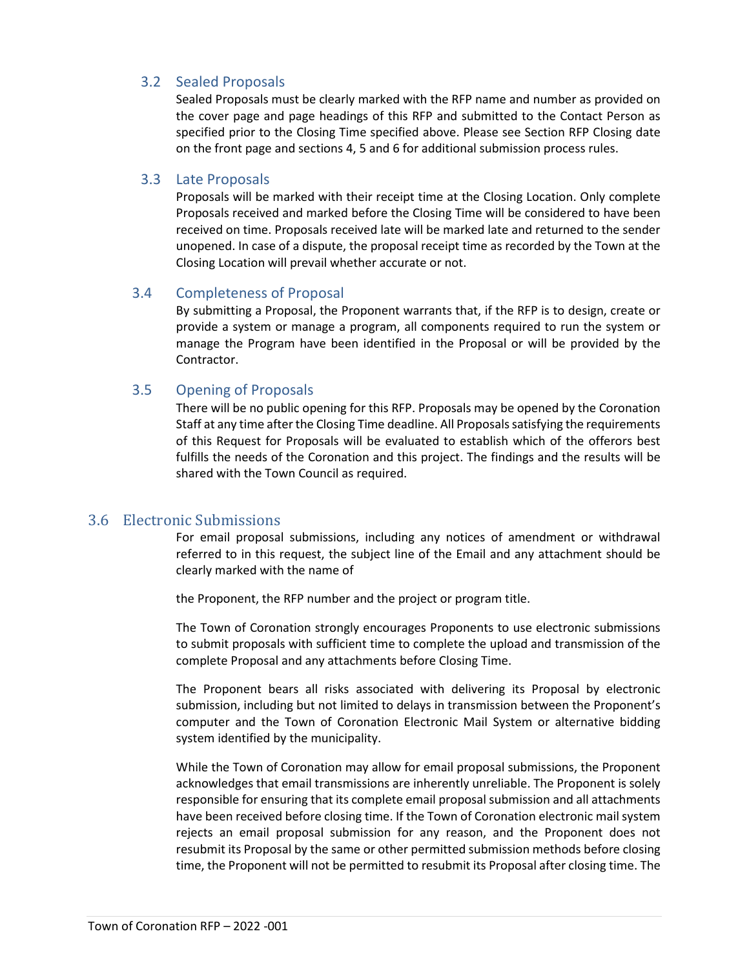### 3.2 Sealed Proposals

Sealed Proposals must be clearly marked with the RFP name and number as provided on the cover page and page headings of this RFP and submitted to the Contact Person as specified prior to the Closing Time specified above. Please see Section RFP Closing date on the front page and sections 4, 5 and 6 for additional submission process rules.

#### 3.3 Late Proposals

Proposals will be marked with their receipt time at the Closing Location. Only complete Proposals received and marked before the Closing Time will be considered to have been received on time. Proposals received late will be marked late and returned to the sender unopened. In case of a dispute, the proposal receipt time as recorded by the Town at the Closing Location will prevail whether accurate or not.

#### 3.4 Completeness of Proposal

By submitting a Proposal, the Proponent warrants that, if the RFP is to design, create or provide a system or manage a program, all components required to run the system or manage the Program have been identified in the Proposal or will be provided by the Contractor.

#### 3.5 Opening of Proposals

There will be no public opening for this RFP. Proposals may be opened by the Coronation Staff at any time after the Closing Time deadline. All Proposals satisfying the requirements of this Request for Proposals will be evaluated to establish which of the offerors best fulfills the needs of the Coronation and this project. The findings and the results will be shared with the Town Council as required.

## 3.6 Electronic Submissions

For email proposal submissions, including any notices of amendment or withdrawal referred to in this request, the subject line of the Email and any attachment should be clearly marked with the name of

the Proponent, the RFP number and the project or program title.

The Town of Coronation strongly encourages Proponents to use electronic submissions to submit proposals with sufficient time to complete the upload and transmission of the complete Proposal and any attachments before Closing Time.

The Proponent bears all risks associated with delivering its Proposal by electronic submission, including but not limited to delays in transmission between the Proponent's computer and the Town of Coronation Electronic Mail System or alternative bidding system identified by the municipality.

While the Town of Coronation may allow for email proposal submissions, the Proponent acknowledges that email transmissions are inherently unreliable. The Proponent is solely responsible for ensuring that its complete email proposal submission and all attachments have been received before closing time. If the Town of Coronation electronic mail system rejects an email proposal submission for any reason, and the Proponent does not resubmit its Proposal by the same or other permitted submission methods before closing time, the Proponent will not be permitted to resubmit its Proposal after closing time. The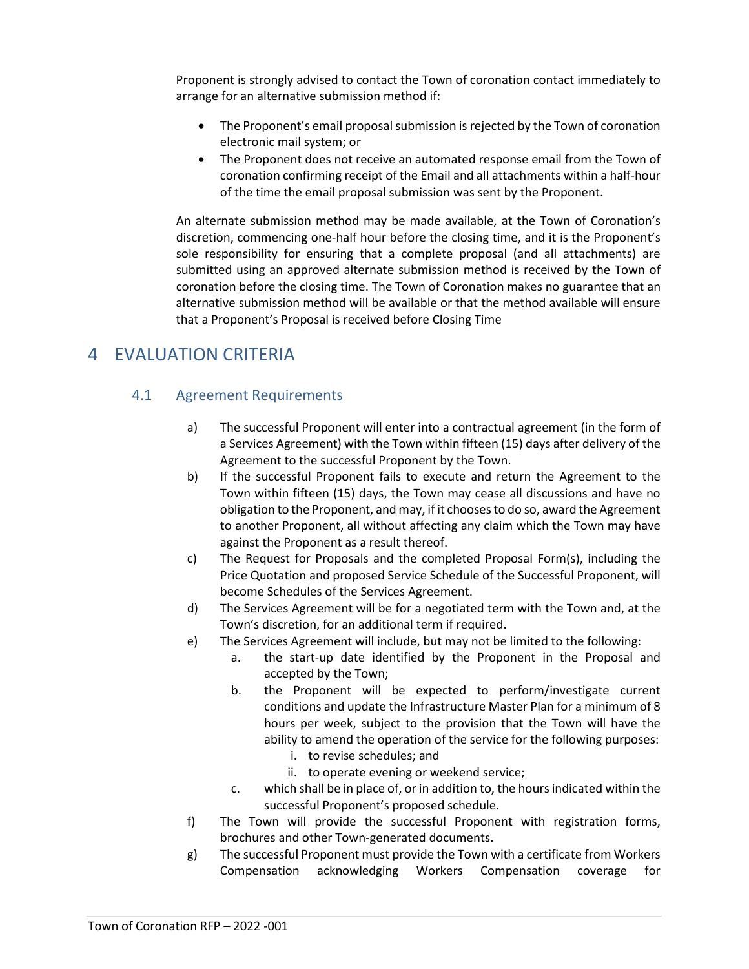Proponent is strongly advised to contact the Town of coronation contact immediately to arrange for an alternative submission method if:

- The Proponent's email proposal submission is rejected by the Town of coronation electronic mail system; or
- The Proponent does not receive an automated response email from the Town of coronation confirming receipt of the Email and all attachments within a half-hour of the time the email proposal submission was sent by the Proponent.

An alternate submission method may be made available, at the Town of Coronation's discretion, commencing one-half hour before the closing time, and it is the Proponent's sole responsibility for ensuring that a complete proposal (and all attachments) are submitted using an approved alternate submission method is received by the Town of coronation before the closing time. The Town of Coronation makes no guarantee that an alternative submission method will be available or that the method available will ensure that a Proponent's Proposal is received before Closing Time

# <span id="page-6-0"></span>4 EVALUATION CRITERIA

## 4.1 Agreement Requirements

- a) The successful Proponent will enter into a contractual agreement (in the form of a Services Agreement) with the Town within fifteen (15) days after delivery of the Agreement to the successful Proponent by the Town.
- b) If the successful Proponent fails to execute and return the Agreement to the Town within fifteen (15) days, the Town may cease all discussions and have no obligation to the Proponent, and may, if it chooses to do so, award the Agreement to another Proponent, all without affecting any claim which the Town may have against the Proponent as a result thereof.
- c) The Request for Proposals and the completed Proposal Form(s), including the Price Quotation and proposed Service Schedule of the Successful Proponent, will become Schedules of the Services Agreement.
- d) The Services Agreement will be for a negotiated term with the Town and, at the Town's discretion, for an additional term if required.
- e) The Services Agreement will include, but may not be limited to the following:
	- a. the start-up date identified by the Proponent in the Proposal and accepted by the Town;
	- b. the Proponent will be expected to perform/investigate current conditions and update the Infrastructure Master Plan for a minimum of 8 hours per week, subject to the provision that the Town will have the ability to amend the operation of the service for the following purposes:
		- i. to revise schedules; and
		- ii. to operate evening or weekend service;
	- c. which shall be in place of, or in addition to, the hours indicated within the successful Proponent's proposed schedule.
- f) The Town will provide the successful Proponent with registration forms, brochures and other Town-generated documents.
- g) The successful Proponent must provide the Town with a certificate from Workers Compensation acknowledging Workers Compensation coverage for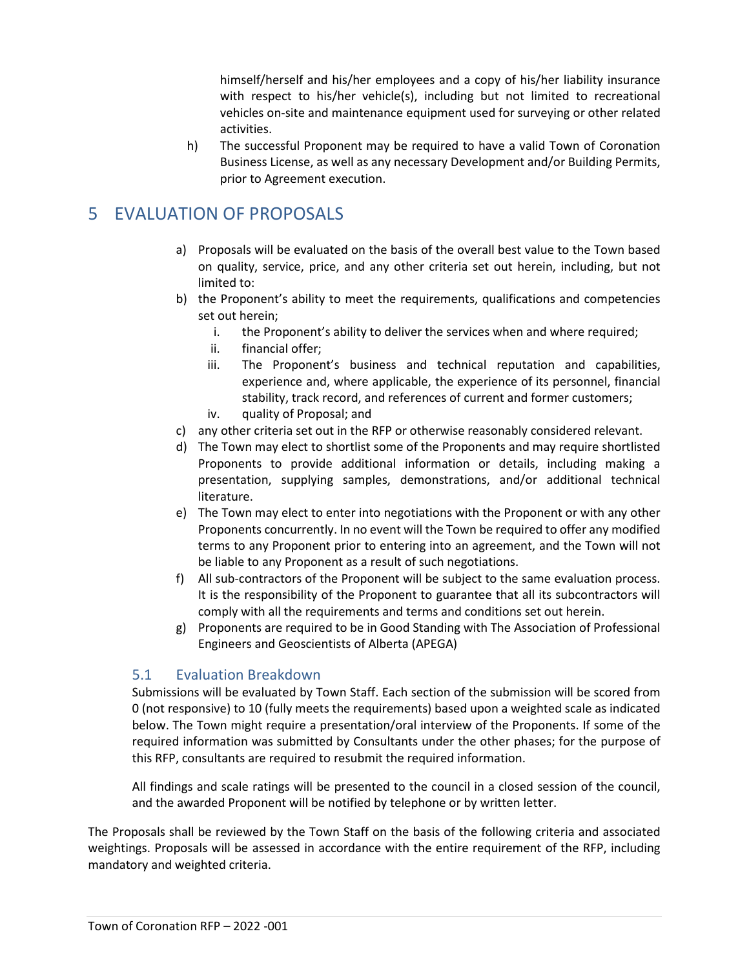himself/herself and his/her employees and a copy of his/her liability insurance with respect to his/her vehicle(s), including but not limited to recreational vehicles on-site and maintenance equipment used for surveying or other related activities.

h) The successful Proponent may be required to have a valid Town of Coronation Business License, as well as any necessary Development and/or Building Permits, prior to Agreement execution.

# <span id="page-7-0"></span>5 EVALUATION OF PROPOSALS

- a) Proposals will be evaluated on the basis of the overall best value to the Town based on quality, service, price, and any other criteria set out herein, including, but not limited to:
- b) the Proponent's ability to meet the requirements, qualifications and competencies set out herein;
	- i. the Proponent's ability to deliver the services when and where required;
	- ii. financial offer;
	- iii. The Proponent's business and technical reputation and capabilities, experience and, where applicable, the experience of its personnel, financial stability, track record, and references of current and former customers;
	- iv. quality of Proposal; and
- c) any other criteria set out in the RFP or otherwise reasonably considered relevant.
- d) The Town may elect to shortlist some of the Proponents and may require shortlisted Proponents to provide additional information or details, including making a presentation, supplying samples, demonstrations, and/or additional technical literature.
- e) The Town may elect to enter into negotiations with the Proponent or with any other Proponents concurrently. In no event will the Town be required to offer any modified terms to any Proponent prior to entering into an agreement, and the Town will not be liable to any Proponent as a result of such negotiations.
- f) All sub-contractors of the Proponent will be subject to the same evaluation process. It is the responsibility of the Proponent to guarantee that all its subcontractors will comply with all the requirements and terms and conditions set out herein.
- g) Proponents are required to be in Good Standing with The Association of Professional Engineers and Geoscientists of Alberta (APEGA)

## 5.1 Evaluation Breakdown

Submissions will be evaluated by Town Staff. Each section of the submission will be scored from 0 (not responsive) to 10 (fully meets the requirements) based upon a weighted scale as indicated below. The Town might require a presentation/oral interview of the Proponents. If some of the required information was submitted by Consultants under the other phases; for the purpose of this RFP, consultants are required to resubmit the required information.

All findings and scale ratings will be presented to the council in a closed session of the council, and the awarded Proponent will be notified by telephone or by written letter.

The Proposals shall be reviewed by the Town Staff on the basis of the following criteria and associated weightings. Proposals will be assessed in accordance with the entire requirement of the RFP, including mandatory and weighted criteria.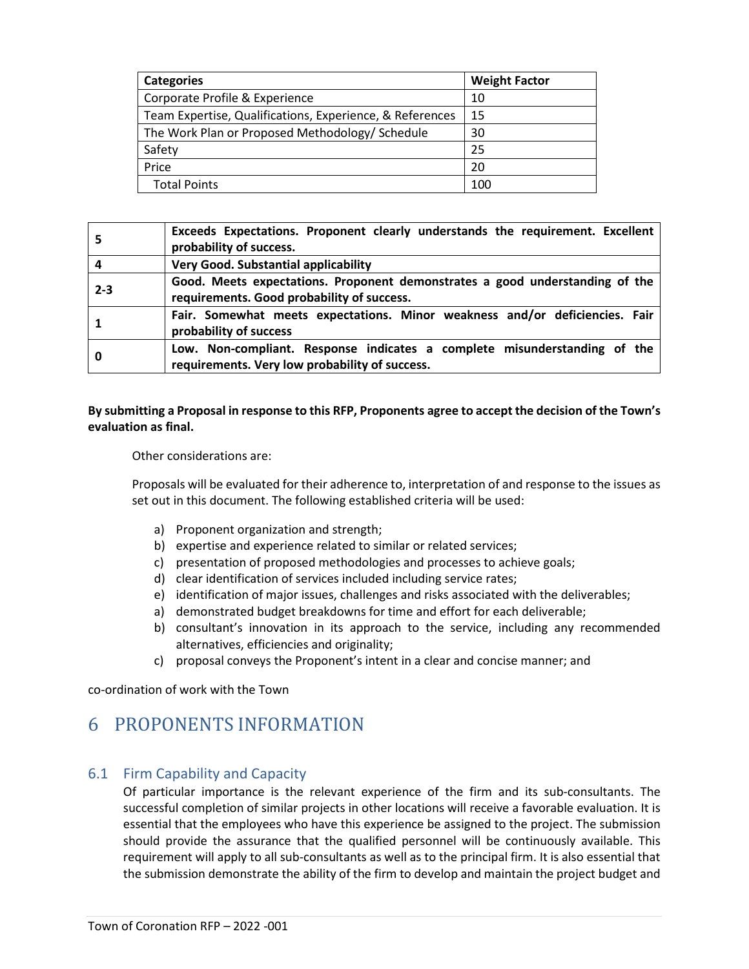| <b>Categories</b>                                        | <b>Weight Factor</b> |
|----------------------------------------------------------|----------------------|
| Corporate Profile & Experience                           | 10                   |
| Team Expertise, Qualifications, Experience, & References | 15                   |
| The Work Plan or Proposed Methodology/ Schedule          | 30                   |
| Safety                                                   | 25                   |
| Price                                                    | 20                   |
| <b>Total Points</b>                                      | 100                  |

| 5       | Exceeds Expectations. Proponent clearly understands the requirement. Excellent<br>probability of success.                   |
|---------|-----------------------------------------------------------------------------------------------------------------------------|
|         | <b>Very Good. Substantial applicability</b>                                                                                 |
| $2 - 3$ | Good. Meets expectations. Proponent demonstrates a good understanding of the<br>requirements. Good probability of success.  |
|         | Fair. Somewhat meets expectations. Minor weakness and/or deficiencies. Fair<br>probability of success                       |
| 0       | Low. Non-compliant. Response indicates a complete misunderstanding of the<br>requirements. Very low probability of success. |

#### **By submitting a Proposal in response to this RFP, Proponents agree to accept the decision of the Town's evaluation as final.**

Other considerations are:

Proposals will be evaluated for their adherence to, interpretation of and response to the issues as set out in this document. The following established criteria will be used:

- a) Proponent organization and strength;
- b) expertise and experience related to similar or related services;
- c) presentation of proposed methodologies and processes to achieve goals;
- d) clear identification of services included including service rates;
- e) identification of major issues, challenges and risks associated with the deliverables;
- a) demonstrated budget breakdowns for time and effort for each deliverable;
- b) consultant's innovation in its approach to the service, including any recommended alternatives, efficiencies and originality;
- c) proposal conveys the Proponent's intent in a clear and concise manner; and

co-ordination of work with the Town

# <span id="page-8-0"></span>6 PROPONENTS INFORMATION

#### 6.1 Firm Capability and Capacity

Of particular importance is the relevant experience of the firm and its sub-consultants. The successful completion of similar projects in other locations will receive a favorable evaluation. It is essential that the employees who have this experience be assigned to the project. The submission should provide the assurance that the qualified personnel will be continuously available. This requirement will apply to all sub-consultants as well as to the principal firm. It is also essential that the submission demonstrate the ability of the firm to develop and maintain the project budget and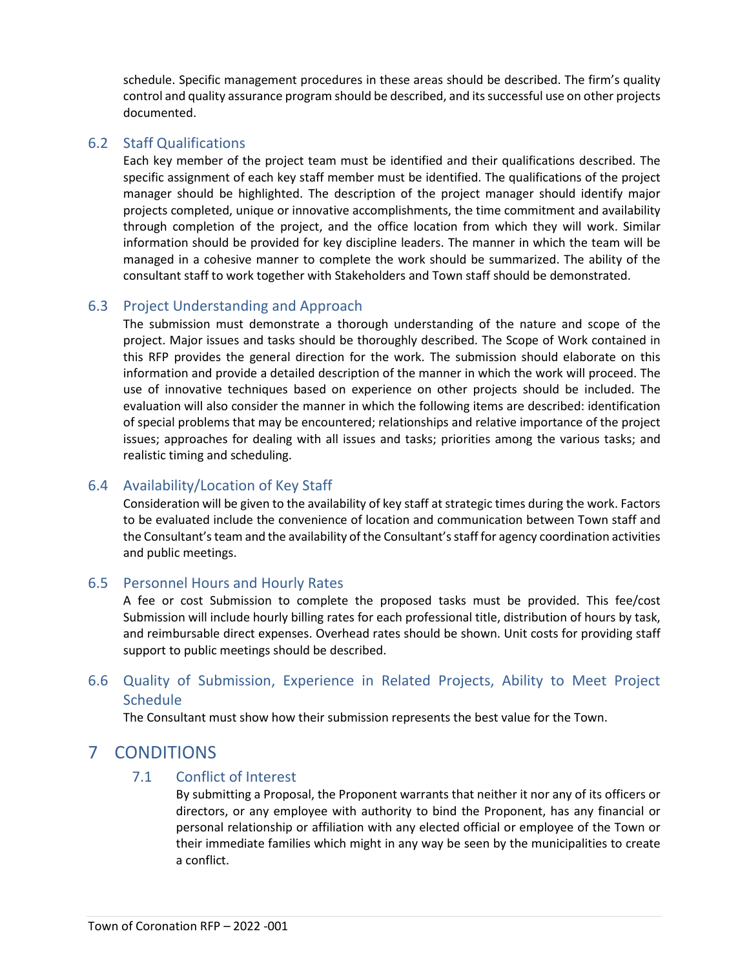schedule. Specific management procedures in these areas should be described. The firm's quality control and quality assurance program should be described, and its successful use on other projects documented.

#### 6.2 Staff Qualifications

Each key member of the project team must be identified and their qualifications described. The specific assignment of each key staff member must be identified. The qualifications of the project manager should be highlighted. The description of the project manager should identify major projects completed, unique or innovative accomplishments, the time commitment and availability through completion of the project, and the office location from which they will work. Similar information should be provided for key discipline leaders. The manner in which the team will be managed in a cohesive manner to complete the work should be summarized. The ability of the consultant staff to work together with Stakeholders and Town staff should be demonstrated.

#### 6.3 Project Understanding and Approach

The submission must demonstrate a thorough understanding of the nature and scope of the project. Major issues and tasks should be thoroughly described. The Scope of Work contained in this RFP provides the general direction for the work. The submission should elaborate on this information and provide a detailed description of the manner in which the work will proceed. The use of innovative techniques based on experience on other projects should be included. The evaluation will also consider the manner in which the following items are described: identification of special problems that may be encountered; relationships and relative importance of the project issues; approaches for dealing with all issues and tasks; priorities among the various tasks; and realistic timing and scheduling.

#### 6.4 Availability/Location of Key Staff

Consideration will be given to the availability of key staff at strategic times during the work. Factors to be evaluated include the convenience of location and communication between Town staff and the Consultant's team and the availability of the Consultant's staff for agency coordination activities and public meetings.

#### 6.5 Personnel Hours and Hourly Rates

A fee or cost Submission to complete the proposed tasks must be provided. This fee/cost Submission will include hourly billing rates for each professional title, distribution of hours by task, and reimbursable direct expenses. Overhead rates should be shown. Unit costs for providing staff support to public meetings should be described.

## 6.6 Quality of Submission, Experience in Related Projects, Ability to Meet Project **Schedule**

The Consultant must show how their submission represents the best value for the Town.

# <span id="page-9-0"></span>7 CONDITIONS

#### 7.1 Conflict of Interest

By submitting a Proposal, the Proponent warrants that neither it nor any of its officers or directors, or any employee with authority to bind the Proponent, has any financial or personal relationship or affiliation with any elected official or employee of the Town or their immediate families which might in any way be seen by the municipalities to create a conflict.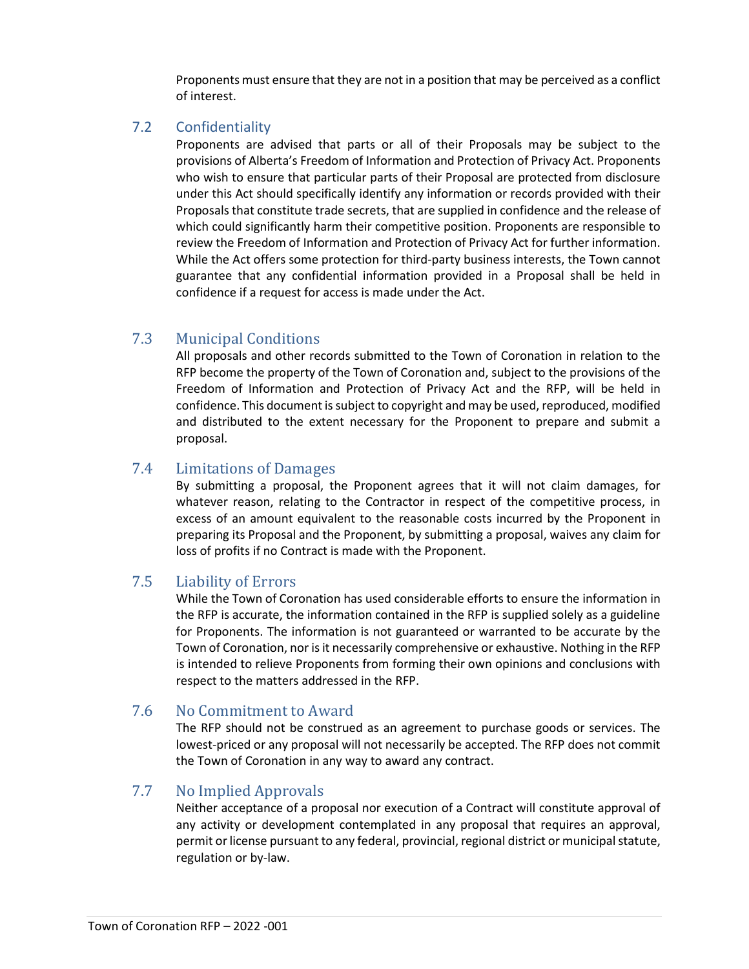Proponents must ensure that they are not in a position that may be perceived as a conflict of interest.

### 7.2 Confidentiality

Proponents are advised that parts or all of their Proposals may be subject to the provisions of Alberta's Freedom of Information and Protection of Privacy Act. Proponents who wish to ensure that particular parts of their Proposal are protected from disclosure under this Act should specifically identify any information or records provided with their Proposals that constitute trade secrets, that are supplied in confidence and the release of which could significantly harm their competitive position. Proponents are responsible to review the Freedom of Information and Protection of Privacy Act for further information. While the Act offers some protection for third-party business interests, the Town cannot guarantee that any confidential information provided in a Proposal shall be held in confidence if a request for access is made under the Act.

# 7.3 Municipal Conditions

All proposals and other records submitted to the Town of Coronation in relation to the RFP become the property of the Town of Coronation and, subject to the provisions of the Freedom of Information and Protection of Privacy Act and the RFP, will be held in confidence. This document is subject to copyright and may be used, reproduced, modified and distributed to the extent necessary for the Proponent to prepare and submit a proposal.

## 7.4 Limitations of Damages

By submitting a proposal, the Proponent agrees that it will not claim damages, for whatever reason, relating to the Contractor in respect of the competitive process, in excess of an amount equivalent to the reasonable costs incurred by the Proponent in preparing its Proposal and the Proponent, by submitting a proposal, waives any claim for loss of profits if no Contract is made with the Proponent.

## 7.5 Liability of Errors

While the Town of Coronation has used considerable efforts to ensure the information in the RFP is accurate, the information contained in the RFP is supplied solely as a guideline for Proponents. The information is not guaranteed or warranted to be accurate by the Town of Coronation, nor is it necessarily comprehensive or exhaustive. Nothing in the RFP is intended to relieve Proponents from forming their own opinions and conclusions with respect to the matters addressed in the RFP.

## 7.6 No Commitment to Award

The RFP should not be construed as an agreement to purchase goods or services. The lowest-priced or any proposal will not necessarily be accepted. The RFP does not commit the Town of Coronation in any way to award any contract.

## 7.7 No Implied Approvals

Neither acceptance of a proposal nor execution of a Contract will constitute approval of any activity or development contemplated in any proposal that requires an approval, permit or license pursuant to any federal, provincial, regional district or municipal statute, regulation or by-law.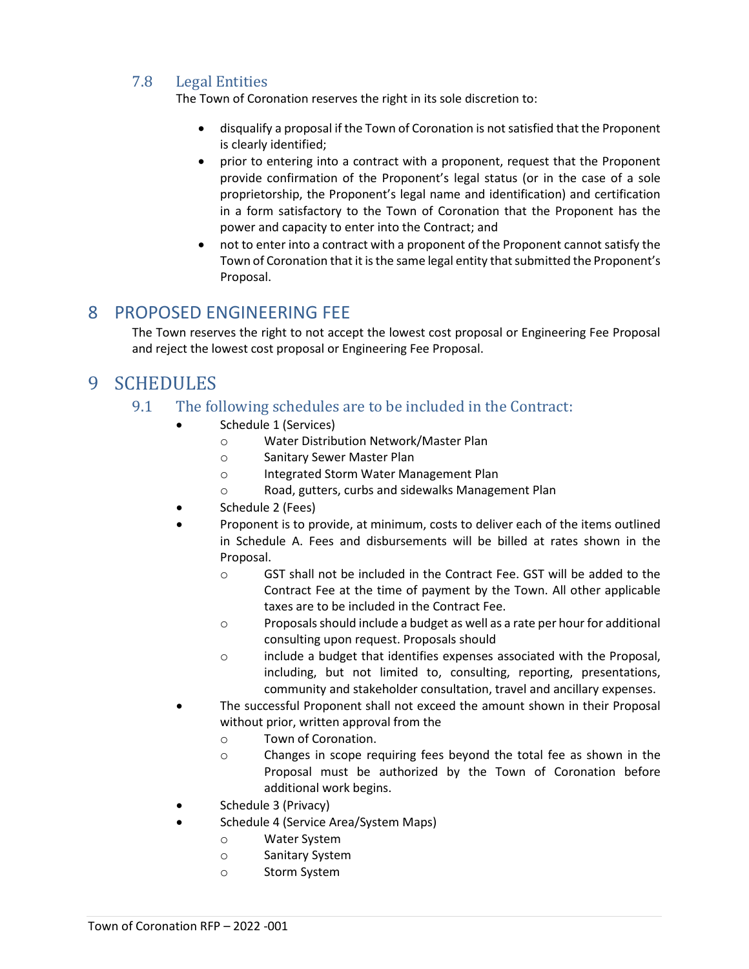# 7.8 Legal Entities

The Town of Coronation reserves the right in its sole discretion to:

- disqualify a proposal if the Town of Coronation is not satisfied that the Proponent is clearly identified;
- prior to entering into a contract with a proponent, request that the Proponent provide confirmation of the Proponent's legal status (or in the case of a sole proprietorship, the Proponent's legal name and identification) and certification in a form satisfactory to the Town of Coronation that the Proponent has the power and capacity to enter into the Contract; and
- not to enter into a contract with a proponent of the Proponent cannot satisfy the Town of Coronation that it is the same legal entity that submitted the Proponent's Proposal.

# <span id="page-11-0"></span>8 PROPOSED ENGINEERING FEE

The Town reserves the right to not accept the lowest cost proposal or Engineering Fee Proposal and reject the lowest cost proposal or Engineering Fee Proposal.

# <span id="page-11-1"></span>9 SCHEDULES

- 9.1 The following schedules are to be included in the Contract:
	- Schedule 1 (Services)
		- o Water Distribution Network/Master Plan
			- o Sanitary Sewer Master Plan
			- o Integrated Storm Water Management Plan
			- Road, gutters, curbs and sidewalks Management Plan
	- Schedule 2 (Fees)
	- Proponent is to provide, at minimum, costs to deliver each of the items outlined in Schedule A. Fees and disbursements will be billed at rates shown in the Proposal.
		- o GST shall not be included in the Contract Fee. GST will be added to the Contract Fee at the time of payment by the Town. All other applicable taxes are to be included in the Contract Fee.
		- o Proposals should include a budget as well as a rate per hour for additional consulting upon request. Proposals should
		- o include a budget that identifies expenses associated with the Proposal, including, but not limited to, consulting, reporting, presentations, community and stakeholder consultation, travel and ancillary expenses.
	- The successful Proponent shall not exceed the amount shown in their Proposal without prior, written approval from the
		- o Town of Coronation.
		- o Changes in scope requiring fees beyond the total fee as shown in the Proposal must be authorized by the Town of Coronation before additional work begins.
	- Schedule 3 (Privacy)
		- Schedule 4 (Service Area/System Maps)
			- o Water System
			- o Sanitary System
			- o Storm System